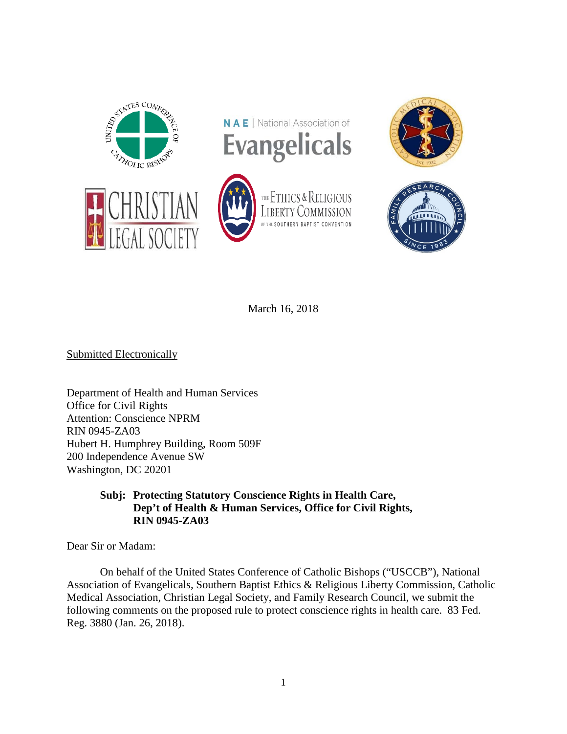



OF THE SOUTHERN BAPTIST

THE ETHICS & RELIGIOUS **LIBERTY COMMISSION** 





March 16, 2018

Submitted Electronically

Department of Health and Human Services Office for Civil Rights Attention: Conscience NPRM RIN 0945-ZA03 Hubert H. Humphrey Building, Room 509F 200 Independence Avenue SW Washington, DC 20201

## **Subj: Protecting Statutory Conscience Rights in Health Care, Dep't of Health & Human Services, Office for Civil Rights, RIN 0945-ZA03**

Dear Sir or Madam:

On behalf of the United States Conference of Catholic Bishops ("USCCB"), National Association of Evangelicals, Southern Baptist Ethics & Religious Liberty Commission, Catholic Medical Association, Christian Legal Society, and Family Research Council, we submit the following comments on the proposed rule to protect conscience rights in health care. 83 Fed. Reg. 3880 (Jan. 26, 2018).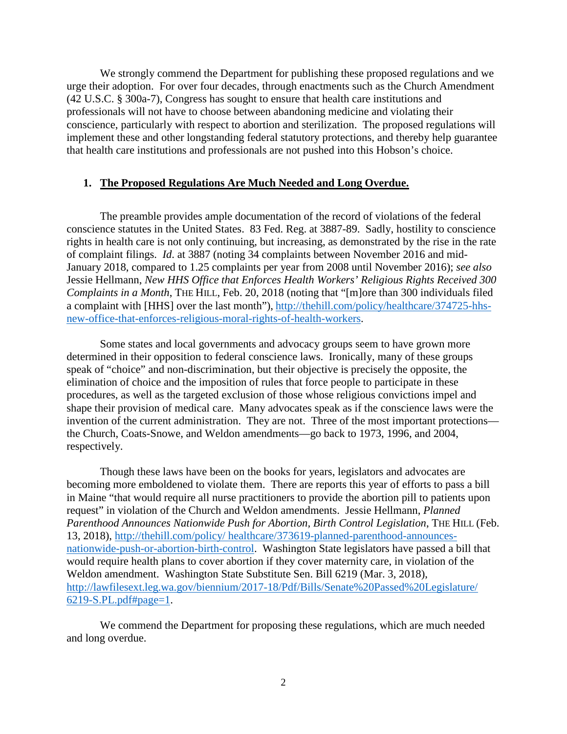We strongly commend the Department for publishing these proposed regulations and we urge their adoption. For over four decades, through enactments such as the Church Amendment (42 U.S.C. § 300a-7), Congress has sought to ensure that health care institutions and professionals will not have to choose between abandoning medicine and violating their conscience, particularly with respect to abortion and sterilization. The proposed regulations will implement these and other longstanding federal statutory protections, and thereby help guarantee that health care institutions and professionals are not pushed into this Hobson's choice.

### **1. The Proposed Regulations Are Much Needed and Long Overdue.**

The preamble provides ample documentation of the record of violations of the federal conscience statutes in the United States. 83 Fed. Reg. at 3887-89. Sadly, hostility to conscience rights in health care is not only continuing, but increasing, as demonstrated by the rise in the rate of complaint filings. *Id*. at 3887 (noting 34 complaints between November 2016 and mid-January 2018, compared to 1.25 complaints per year from 2008 until November 2016); *see also* Jessie Hellmann, *New HHS Office that Enforces Health Workers' Religious Rights Received 300 Complaints in a Month*, THE HILL, Feb. 20, 2018 (noting that "[m]ore than 300 individuals filed a complaint with [HHS] over the last month"), [http://thehill.com/policy/healthcare/374725-hhs](http://thehill.com/policy/healthcare/374725-hhs-new-office-that-enforces-religious-moral-rights-of-health-workers)[new-office-that-enforces-religious-moral-rights-of-health-workers.](http://thehill.com/policy/healthcare/374725-hhs-new-office-that-enforces-religious-moral-rights-of-health-workers)

Some states and local governments and advocacy groups seem to have grown more determined in their opposition to federal conscience laws. Ironically, many of these groups speak of "choice" and non-discrimination, but their objective is precisely the opposite, the elimination of choice and the imposition of rules that force people to participate in these procedures, as well as the targeted exclusion of those whose religious convictions impel and shape their provision of medical care. Many advocates speak as if the conscience laws were the invention of the current administration. They are not. Three of the most important protections the Church, Coats-Snowe, and Weldon amendments—go back to 1973, 1996, and 2004, respectively.

Though these laws have been on the books for years, legislators and advocates are becoming more emboldened to violate them. There are reports this year of efforts to pass a bill in Maine "that would require all nurse practitioners to provide the abortion pill to patients upon request" in violation of the Church and Weldon amendments. Jessie Hellmann, *Planned Parenthood Announces Nationwide Push for Abortion, Birth Control Legislation*, THE HILL (Feb. 13, 2018), http://thehill.com/policy/ [healthcare/373619-planned-parenthood-announces](http://thehill.com/policy/healthcare/373619-planned-parenthood-announces-nationwide-push-for-abortion-birth-control)[nationwide-push-or-abortion-birth-control.](http://thehill.com/policy/healthcare/373619-planned-parenthood-announces-nationwide-push-for-abortion-birth-control) Washington State legislators have passed a bill that would require health plans to cover abortion if they cover maternity care, in violation of the Weldon amendment. Washington State Substitute Sen. Bill 6219 (Mar. 3, 2018), [http://lawfilesext.leg.wa.gov/biennium/2017-18/Pdf/Bills/Senate%20Passed%20Legislature/](http://lawfilesext.leg.wa.gov/biennium/2017-18/Pdf/Bills/Senate%20Passed%20Legislature/%206219-S.PL.pdf#page=1)  [6219-S.PL.pdf#page=1.](http://lawfilesext.leg.wa.gov/biennium/2017-18/Pdf/Bills/Senate%20Passed%20Legislature/%206219-S.PL.pdf#page=1)

We commend the Department for proposing these regulations, which are much needed and long overdue.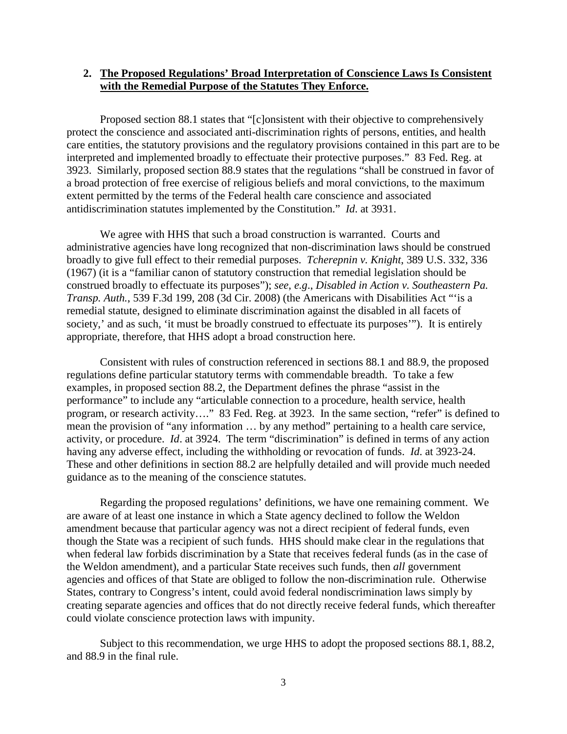## **2. The Proposed Regulations' Broad Interpretation of Conscience Laws Is Consistent with the Remedial Purpose of the Statutes They Enforce.**

Proposed section 88.1 states that "[c]onsistent with their objective to comprehensively protect the conscience and associated anti-discrimination rights of persons, entities, and health care entities, the statutory provisions and the regulatory provisions contained in this part are to be interpreted and implemented broadly to effectuate their protective purposes." 83 Fed. Reg. at 3923. Similarly, proposed section 88.9 states that the regulations "shall be construed in favor of a broad protection of free exercise of religious beliefs and moral convictions, to the maximum extent permitted by the terms of the Federal health care conscience and associated antidiscrimination statutes implemented by the Constitution." *Id*. at 3931.

We agree with HHS that such a broad construction is warranted. Courts and administrative agencies have long recognized that non-discrimination laws should be construed broadly to give full effect to their remedial purposes. *Tcherepnin v. Knight*, 389 U.S. 332, 336 (1967) (it is a "familiar canon of statutory construction that remedial legislation should be construed broadly to effectuate its purposes"); *see*, *e.g*., *Disabled in Action v. Southeastern Pa. Transp. Auth.*, 539 F.3d 199, 208 (3d Cir. 2008) (the Americans with Disabilities Act "'is a remedial statute, designed to eliminate discrimination against the disabled in all facets of society,' and as such, 'it must be broadly construed to effectuate its purposes'"). It is entirely appropriate, therefore, that HHS adopt a broad construction here.

Consistent with rules of construction referenced in sections 88.1 and 88.9, the proposed regulations define particular statutory terms with commendable breadth. To take a few examples, in proposed section 88.2, the Department defines the phrase "assist in the performance" to include any "articulable connection to a procedure, health service, health program, or research activity…." 83 Fed. Reg. at 3923. In the same section, "refer" is defined to mean the provision of "any information … by any method" pertaining to a health care service, activity, or procedure. *Id*. at 3924. The term "discrimination" is defined in terms of any action having any adverse effect, including the withholding or revocation of funds. *Id*. at 3923-24. These and other definitions in section 88.2 are helpfully detailed and will provide much needed guidance as to the meaning of the conscience statutes.

Regarding the proposed regulations' definitions, we have one remaining comment. We are aware of at least one instance in which a State agency declined to follow the Weldon amendment because that particular agency was not a direct recipient of federal funds, even though the State was a recipient of such funds. HHS should make clear in the regulations that when federal law forbids discrimination by a State that receives federal funds (as in the case of the Weldon amendment), and a particular State receives such funds, then *all* government agencies and offices of that State are obliged to follow the non-discrimination rule. Otherwise States, contrary to Congress's intent, could avoid federal nondiscrimination laws simply by creating separate agencies and offices that do not directly receive federal funds, which thereafter could violate conscience protection laws with impunity.

Subject to this recommendation, we urge HHS to adopt the proposed sections 88.1, 88.2, and 88.9 in the final rule.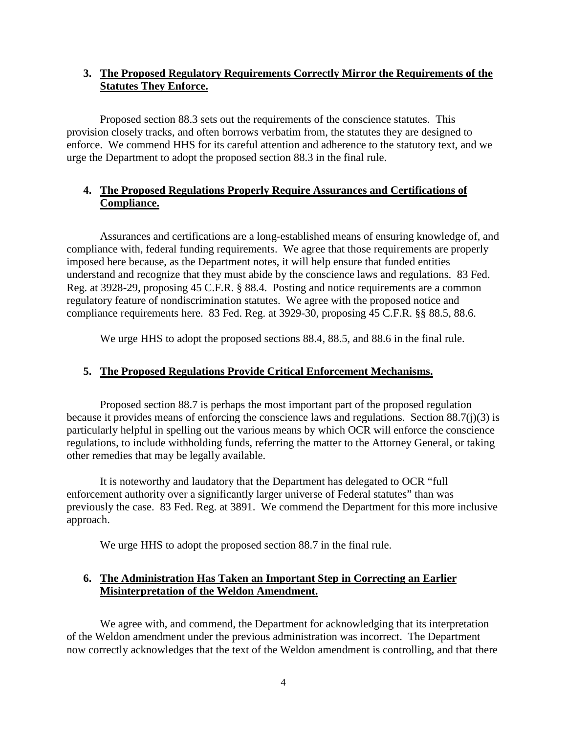# **3. The Proposed Regulatory Requirements Correctly Mirror the Requirements of the Statutes They Enforce.**

Proposed section 88.3 sets out the requirements of the conscience statutes. This provision closely tracks, and often borrows verbatim from, the statutes they are designed to enforce. We commend HHS for its careful attention and adherence to the statutory text, and we urge the Department to adopt the proposed section 88.3 in the final rule.

# **4. The Proposed Regulations Properly Require Assurances and Certifications of Compliance.**

Assurances and certifications are a long-established means of ensuring knowledge of, and compliance with, federal funding requirements. We agree that those requirements are properly imposed here because, as the Department notes, it will help ensure that funded entities understand and recognize that they must abide by the conscience laws and regulations. 83 Fed. Reg. at 3928-29, proposing 45 C.F.R. § 88.4. Posting and notice requirements are a common regulatory feature of nondiscrimination statutes. We agree with the proposed notice and compliance requirements here. 83 Fed. Reg. at 3929-30, proposing 45 C.F.R. §§ 88.5, 88.6.

We urge HHS to adopt the proposed sections 88.4, 88.5, and 88.6 in the final rule.

# **5. The Proposed Regulations Provide Critical Enforcement Mechanisms.**

Proposed section 88.7 is perhaps the most important part of the proposed regulation because it provides means of enforcing the conscience laws and regulations. Section 88.7(j)(3) is particularly helpful in spelling out the various means by which OCR will enforce the conscience regulations, to include withholding funds, referring the matter to the Attorney General, or taking other remedies that may be legally available.

It is noteworthy and laudatory that the Department has delegated to OCR "full enforcement authority over a significantly larger universe of Federal statutes" than was previously the case. 83 Fed. Reg. at 3891. We commend the Department for this more inclusive approach.

We urge HHS to adopt the proposed section 88.7 in the final rule.

# **6. The Administration Has Taken an Important Step in Correcting an Earlier Misinterpretation of the Weldon Amendment.**

We agree with, and commend, the Department for acknowledging that its interpretation of the Weldon amendment under the previous administration was incorrect. The Department now correctly acknowledges that the text of the Weldon amendment is controlling, and that there